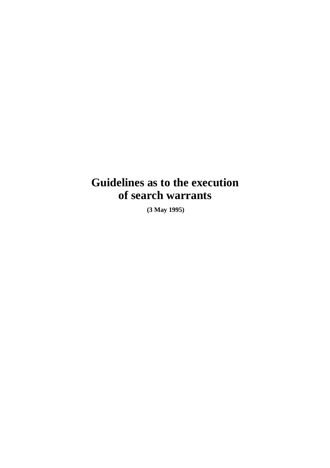# **Guidelines as to the execution of search warrants**

 **(3 May 1995)**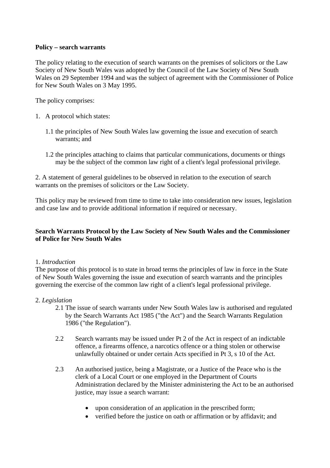## **Policy – search warrants**

The policy relating to the execution of search warrants on the premises of solicitors or the Law Society of New South Wales was adopted by the Council of the Law Society of New South Wales on 29 September 1994 and was the subject of agreement with the Commissioner of Police for New South Wales on 3 May 1995.

The policy comprises:

- 1. A protocol which states:
	- 1.1 the principles of New South Wales law governing the issue and execution of search warrants; and
	- 1.2 the principles attaching to claims that particular communications, documents or things may be the subject of the common law right of a client's legal professional privilege.

2. A statement of general guidelines to be observed in relation to the execution of search warrants on the premises of solicitors or the Law Society.

This policy may be reviewed from time to time to take into consideration new issues, legislation and case law and to provide additional information if required or necessary.

## **Search Warrants Protocol by the Law Society of New South Wales and the Commissioner of Police for New South Wales**

#### 1. *Introduction*

The purpose of this protocol is to state in broad terms the principles of law in force in the State of New South Wales governing the issue and execution of search warrants and the principles governing the exercise of the common law right of a client's legal professional privilege.

#### 2. *Legislation*

- 2.1 The issue of search warrants under New South Wales law is authorised and regulated by the Search Warrants Act 1985 ("the Act") and the Search Warrants Regulation 1986 ("the Regulation").
- 2.2 Search warrants may be issued under Pt 2 of the Act in respect of an indictable offence, a firearms offence, a narcotics offence or a thing stolen or otherwise unlawfully obtained or under certain Acts specified in Pt 3, s 10 of the Act.
- 2.3 An authorised justice, being a Magistrate, or a Justice of the Peace who is the clerk of a Local Court or one employed in the Department of Courts Administration declared by the Minister administering the Act to be an authorised justice, may issue a search warrant:
	- upon consideration of an application in the prescribed form;
	- verified before the justice on oath or affirmation or by affidavit; and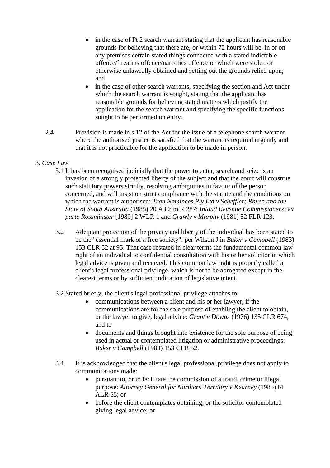- in the case of Pt 2 search warrant stating that the applicant has reasonable grounds for believing that there are, or within 72 hours will be, in or on any premises certain stated things connected with a stated indictable offence/firearms offence/narcotics offence or which were stolen or otherwise unlawfully obtained and setting out the grounds relied upon; and
- in the case of other search warrants, specifying the section and Act under which the search warrant is sought, stating that the applicant has reasonable grounds for believing stated matters which justify the application for the search warrant and specifying the specific functions sought to be performed on entry.
- 2.4 Provision is made in s 12 of the Act for the issue of a telephone search warrant where the authorised justice is satisfied that the warrant is required urgently and that it is not practicable for the application to be made in person.

# 3. *Case Law*

- 3.1 It has been recognised judicially that the power to enter, search and seize is an invasion of a strongly protected liberty of the subject and that the court will construe such statutory powers strictly, resolving ambiguities in favour of the person concerned, and will insist on strict compliance with the statute and the conditions on which the warrant is authorised: *Tran Nominees Ply Ltd v Scheffler; Raven and the State of South Australia* (1985) 20 A Crim R 287; *Inland Revenue Commissioners; ex parte Rossminster* [1980] 2 WLR 1 and *Crawly v Murphy* (1981) 52 FLR 123.
- 3.2 Adequate protection of the privacy and liberty of the individual has been stated to be the "essential mark of a free society": per Wilson J in *Baker v Campbell* (1983) 153 CLR 52 at 95. That case restated in clear terms the fundamental common law right of an individual to confidential consultation with his or her solicitor in which legal advice is given and received. This common law right is properly called a client's legal professional privilege, which is not to be abrogated except in the clearest terms or by sufficient indication of legislative intent.
- 3.2 Stated briefly, the client's legal professional privilege attaches to:
	- communications between a client and his or her lawyer, if the communications are for the sole purpose of enabling the client to obtain, or the lawyer to give, legal advice: *Grant v Downs* (1976) 135 CLR 674; and to
	- documents and things brought into existence for the sole purpose of being used in actual or contemplated litigation or administrative proceedings: *Baker v Campbell* (1983) 153 CLR 52.
- 3.4 It is acknowledged that the client's legal professional privilege does not apply to communications made:
	- pursuant to, or to facilitate the commission of a fraud, crime or illegal purpose: *Attorney General for Northern Territory v Kearney* (1985) 61 ALR 55; or
	- before the client contemplates obtaining, or the solicitor contemplated giving legal advice; or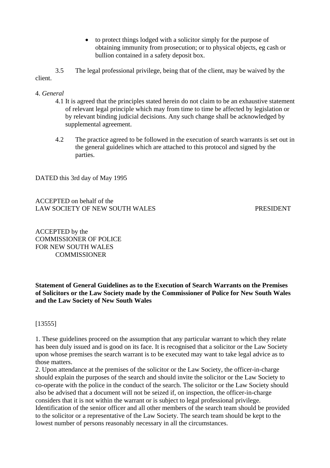• to protect things lodged with a solicitor simply for the purpose of obtaining immunity from prosecution; or to physical objects, eg cash or bullion contained in a safety deposit box.

3.5 The legal professional privilege, being that of the client, may be waived by the client.

- 4. *General* 
	- 4.1 It is agreed that the principles stated herein do not claim to be an exhaustive statement of relevant legal principle which may from time to time be affected by legislation or by relevant binding judicial decisions. Any such change shall be acknowledged by supplemental agreement.
	- 4.2 The practice agreed to be followed in the execution of search warrants is set out in the general guidelines which are attached to this protocol and signed by the parties.

DATED this 3rd day of May 1995

ACCEPTED on behalf of the LAW SOCIETY OF NEW SOUTH WALES PRESIDENT

ACCEPTED by the COMMISSIONER OF POLICE FOR NEW SOUTH WALES **COMMISSIONER** 

**Statement of General Guidelines as to the Execution of Search Warrants on the Premises of Solicitors or the Law Society made by the Commissioner of Police for New South Wales and the Law Society of New South Wales** 

[13555]

1. These guidelines proceed on the assumption that any particular warrant to which they relate has been duly issued and is good on its face. It is recognised that a solicitor or the Law Society upon whose premises the search warrant is to be executed may want to take legal advice as to those matters.

2. Upon attendance at the premises of the solicitor or the Law Society, the officer-in-charge should explain the purposes of the search and should invite the solicitor or the Law Society to co-operate with the police in the conduct of the search. The solicitor or the Law Society should also be advised that a document will not be seized if, on inspection, the officer-in-charge considers that it is not within the warrant or is subject to legal professional privilege. Identification of the senior officer and all other members of the search team should be provided to the solicitor or a representative of the Law Society. The search team should be kept to the lowest number of persons reasonably necessary in all the circumstances.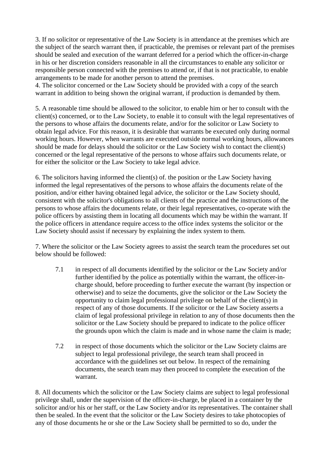3. If no solicitor or representative of the Law Society is in attendance at the premises which are the subject of the search warrant then, if practicable, the premises or relevant part of the premises should be sealed and execution of the warrant deferred for a period which the officer-in-charge in his or her discretion considers reasonable in all the circumstances to enable any solicitor or responsible person connected with the premises to attend or, if that is not practicable, to enable arrangements to be made for another person to attend the premises.

4. The solicitor concerned or the Law Society should be provided with a copy of the search warrant in addition to being shown the original warrant, if production is demanded by them.

5. A reasonable time should be allowed to the solicitor, to enable him or her to consult with the client(s) concerned, or to the Law Society, to enable it to consult with the legal representatives of the persons to whose affairs the documents relate, and/or for the solicitor or Law Society to obtain legal advice. For this reason, it is desirable that warrants be executed only during normal working hours. However, when warrants are executed outside normal working hours, allowances should be made for delays should the solicitor or the Law Society wish to contact the client(s) concerned or the legal representative of the persons to whose affairs such documents relate, or for either the solicitor or the Law Society to take legal advice.

6. The solicitors having informed the client(s) of. the position or the Law Society having informed the legal representatives of the persons to whose affairs the documents relate of the position, and/or either having obtained legal advice, the solicitor or the Law Society should, consistent with the solicitor's obligations to all clients of the practice and the instructions of the persons to whose affairs the documents relate, or their legal representatives, co-operate with the police officers by assisting them in locating all documents which may be within the warrant. If the police officers in attendance require access to the office index systems the solicitor or the Law Society should assist if necessary by explaining the index system to them.

7. Where the solicitor or the Law Society agrees to assist the search team the procedures set out below should be followed:

- 7.1 in respect of all documents identified by the solicitor or the Law Society and/or further identified by the police as potentially within the warrant, the officer-incharge should, before proceeding to further execute the warrant (by inspection or otherwise) and to seize the documents, give the solicitor or the Law Society the opportunity to claim legal professional privilege on behalf of the client(s) in respect of any of those documents. If the solicitor or the Law Society asserts a claim of legal professional privilege in relation to any of those documents then the solicitor or the Law Society should be prepared to indicate to the police officer the grounds upon which the claim is made and in whose name the claim is made;
- 7.2 in respect of those documents which the solicitor or the Law Society claims are subject to legal professional privilege, the search team shall proceed in accordance with the guidelines set out below. In respect of the remaining documents, the search team may then proceed to complete the execution of the warrant.

8. All documents which the solicitor or the Law Society claims are subject to legal professional privilege shall, under the supervision of the officer-in-charge, be placed in a container by the solicitor and/or his or her staff, or the Law Society and/or its representatives. The container shall then be sealed. In the event that the solicitor or the Law Society desires to take photocopies of any of those documents he or she or the Law Society shall be permitted to so do, under the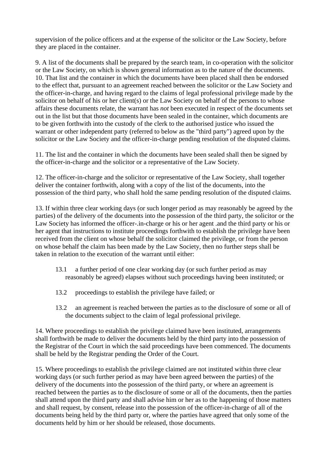supervision of the police officers and at the expense of the solicitor or the Law Society, before they are placed in the container.

9. A list of the documents shall be prepared by the search team, in co-operation with the solicitor or the Law Society, on which is shown general information as to the nature of the documents. 10. That list and the container in which the documents have been placed shall then be endorsed to the effect that, pursuant to an agreement reached between the solicitor or the Law Society and the officer-in-charge, and having regard to the claims of legal professional privilege made by the solicitor on behalf of his or her client(s) or the Law Society on behalf of the persons to whose affairs these documents relate, the warrant has *not* been executed in respect of the documents set out in the list but that those documents have been sealed in the container, which documents are to be given forthwith into the custody of the clerk to the authorised justice who issued the warrant or other independent party (referred to below as the "third party") agreed upon by the solicitor or the Law Society and the officer-in-charge pending resolution of the disputed claims.

11. The list and the container in which the documents have been sealed shall then be signed by the officer-in-charge and the solicitor or a representative of the Law Society.

12. The officer-in-charge and the solicitor or representative of the Law Society, shall together deliver the container forthwith, along with a copy of the list of the documents, into the possession of the third party, who shall hold the same pending resolution of the disputed claims.

13. If within three clear working days (or such longer period as may reasonably be agreed by the parties) of the delivery of the documents into the possession of the third party, the solicitor or the Law Society has informed the officer-.in-charge or his or her agent .and the third party or his or her agent that instructions to institute proceedings forthwith to establish the privilege have been received from the client on whose behalf the solicitor claimed the privilege, or from the person on whose behalf the claim has been made by the Law Society, then no further steps shall be taken in relation to the execution of the warrant until either:

- 13.1 a further period of one clear working day (or such further period as may reasonably be agreed) elapses without such proceedings having been instituted; or
- 13.2 proceedings to establish the privilege have failed; or
- 13.2 an agreement is reached between the parties as to the disclosure of some or all of the documents subject to the claim of legal professional privilege.

14. Where proceedings to establish the privilege claimed have been instituted, arrangements shall forthwith be made to deliver the documents held by the third party into the possession of the Registrar of the Court in which the said proceedings have been commenced. The documents shall be held by the Registrar pending the Order of the Court.

15. Where proceedings to establish the privilege claimed are not instituted within three clear working days (or such further period as may have been agreed between the parties) of the delivery of the documents into the possession of the third party, or where an agreement is reached between the parties as to the disclosure of some or all of the documents, then the parties shall attend upon the third party and shall advise him or her as to the happening of those matters and shall request, by consent, release into the possession of the officer-in-charge of all of the documents being held by the third party or, where the parties have agreed that only some of the documents held by him or her should be released, those documents.